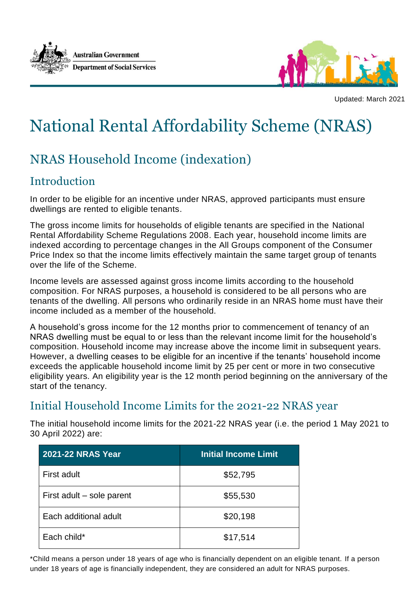



Updated: March 2021

## National Rental Affordability Scheme (NRAS)

## NRAS Household Income (indexation)

## Introduction

In order to be eligible for an incentive under NRAS, approved participants must ensure dwellings are rented to eligible tenants.

The gross income limits for households of eligible tenants are specified in the National Rental Affordability Scheme Regulations 2008. Each year, household income limits are indexed according to percentage changes in the All Groups component of the Consumer Price Index so that the income limits effectively maintain the same target group of tenants over the life of the Scheme.

Income levels are assessed against gross income limits according to the household composition. For NRAS purposes, a household is considered to be all persons who are tenants of the dwelling. All persons who ordinarily reside in an NRAS home must have their income included as a member of the household.

A household's gross income for the 12 months prior to commencement of tenancy of an NRAS dwelling must be equal to or less than the relevant income limit for the household's composition. Household income may increase above the income limit in subsequent years. However, a dwelling ceases to be eligible for an incentive if the tenants' household income exceeds the applicable household income limit by 25 per cent or more in two consecutive eligibility years. An eligibility year is the 12 month period beginning on the anniversary of the start of the tenancy.

## Initial Household Income Limits for the 2021-22 NRAS year

The initial household income limits for the 2021-22 NRAS year (i.e. the period 1 May 2021 to 30 April 2022) are:

| <b>2021-22 NRAS Year</b>  | <b>Initial Income Limit</b> |
|---------------------------|-----------------------------|
| First adult               | \$52,795                    |
| First adult – sole parent | \$55,530                    |
| Each additional adult     | \$20,198                    |
| Each child*               | \$17,514                    |

\*Child means a person under 18 years of age who is financially dependent on an eligible tenant. If a person under 18 years of age is financially independent, they are considered an adult for NRAS purposes.